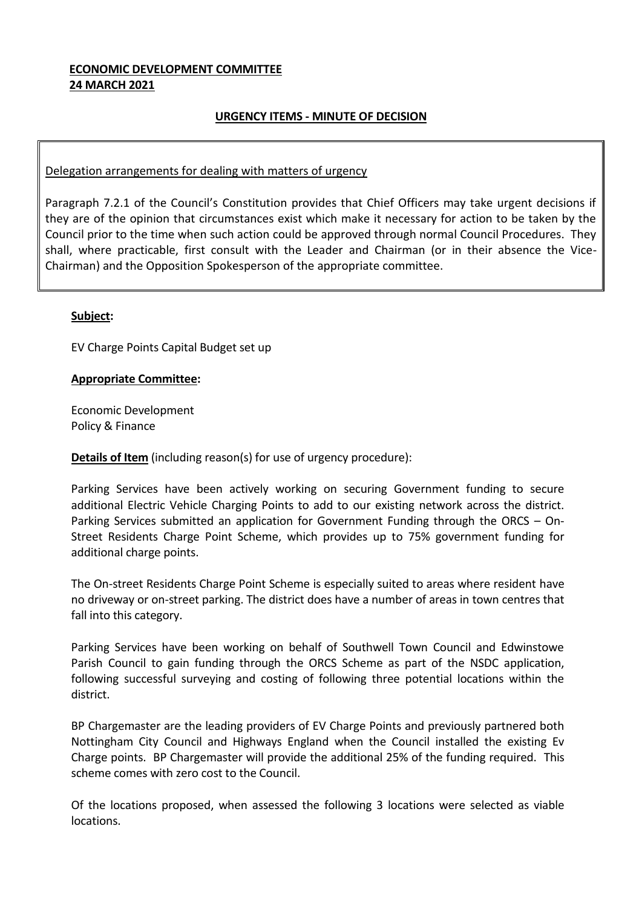### **ECONOMIC DEVELOPMENT COMMITTEE 24 MARCH 2021**

# **URGENCY ITEMS - MINUTE OF DECISION**

## Delegation arrangements for dealing with matters of urgency

Paragraph 7.2.1 of the Council's Constitution provides that Chief Officers may take urgent decisions if they are of the opinion that circumstances exist which make it necessary for action to be taken by the Council prior to the time when such action could be approved through normal Council Procedures. They shall, where practicable, first consult with the Leader and Chairman (or in their absence the Vice-Chairman) and the Opposition Spokesperson of the appropriate committee.

### **Subject:**

EV Charge Points Capital Budget set up

### **Appropriate Committee:**

Economic Development Policy & Finance

**Details of Item** (including reason(s) for use of urgency procedure):

Parking Services have been actively working on securing Government funding to secure additional Electric Vehicle Charging Points to add to our existing network across the district. Parking Services submitted an application for Government Funding through the ORCS – On-Street Residents Charge Point Scheme, which provides up to 75% government funding for additional charge points.

The On-street Residents Charge Point Scheme is especially suited to areas where resident have no driveway or on-street parking. The district does have a number of areas in town centres that fall into this category.

Parking Services have been working on behalf of Southwell Town Council and Edwinstowe Parish Council to gain funding through the ORCS Scheme as part of the NSDC application, following successful surveying and costing of following three potential locations within the district.

BP Chargemaster are the leading providers of EV Charge Points and previously partnered both Nottingham City Council and Highways England when the Council installed the existing Ev Charge points. BP Chargemaster will provide the additional 25% of the funding required. This scheme comes with zero cost to the Council.

Of the locations proposed, when assessed the following 3 locations were selected as viable locations.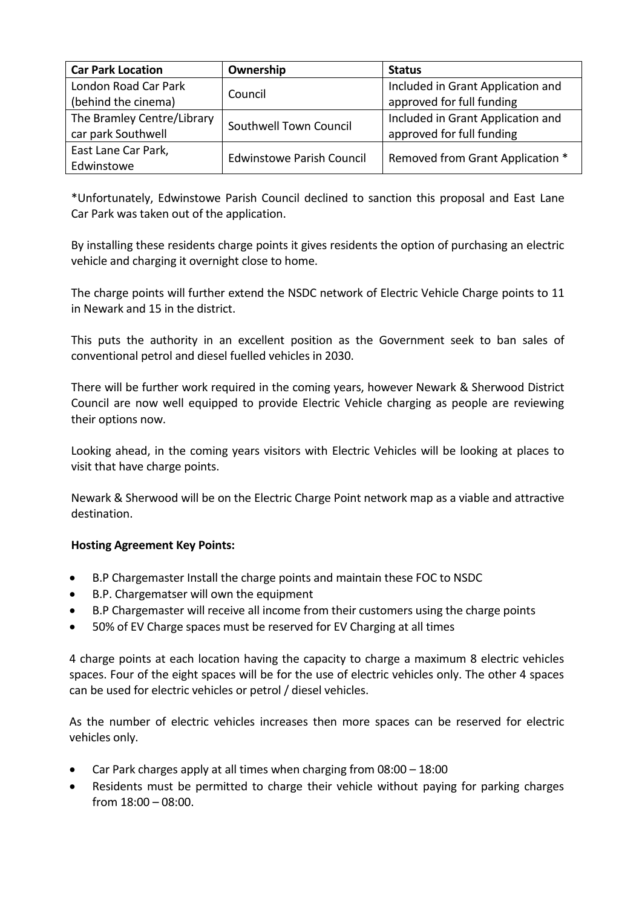| <b>Car Park Location</b>   | Ownership                        | <b>Status</b>                     |
|----------------------------|----------------------------------|-----------------------------------|
| London Road Car Park       | Council                          | Included in Grant Application and |
| (behind the cinema)        |                                  | approved for full funding         |
| The Bramley Centre/Library | Southwell Town Council           | Included in Grant Application and |
| car park Southwell         |                                  | approved for full funding         |
| East Lane Car Park,        | <b>Edwinstowe Parish Council</b> | Removed from Grant Application *  |
| Edwinstowe                 |                                  |                                   |

\*Unfortunately, Edwinstowe Parish Council declined to sanction this proposal and East Lane Car Park was taken out of the application.

By installing these residents charge points it gives residents the option of purchasing an electric vehicle and charging it overnight close to home.

The charge points will further extend the NSDC network of Electric Vehicle Charge points to 11 in Newark and 15 in the district.

This puts the authority in an excellent position as the Government seek to ban sales of conventional petrol and diesel fuelled vehicles in 2030.

There will be further work required in the coming years, however Newark & Sherwood District Council are now well equipped to provide Electric Vehicle charging as people are reviewing their options now.

Looking ahead, in the coming years visitors with Electric Vehicles will be looking at places to visit that have charge points.

Newark & Sherwood will be on the Electric Charge Point network map as a viable and attractive destination.

# **Hosting Agreement Key Points:**

- B.P Chargemaster Install the charge points and maintain these FOC to NSDC
- B.P. Chargematser will own the equipment
- B.P Chargemaster will receive all income from their customers using the charge points
- 50% of EV Charge spaces must be reserved for EV Charging at all times

4 charge points at each location having the capacity to charge a maximum 8 electric vehicles spaces. Four of the eight spaces will be for the use of electric vehicles only. The other 4 spaces can be used for electric vehicles or petrol / diesel vehicles.

As the number of electric vehicles increases then more spaces can be reserved for electric vehicles only.

- Car Park charges apply at all times when charging from 08:00 18:00
- Residents must be permitted to charge their vehicle without paying for parking charges from 18:00 – 08:00.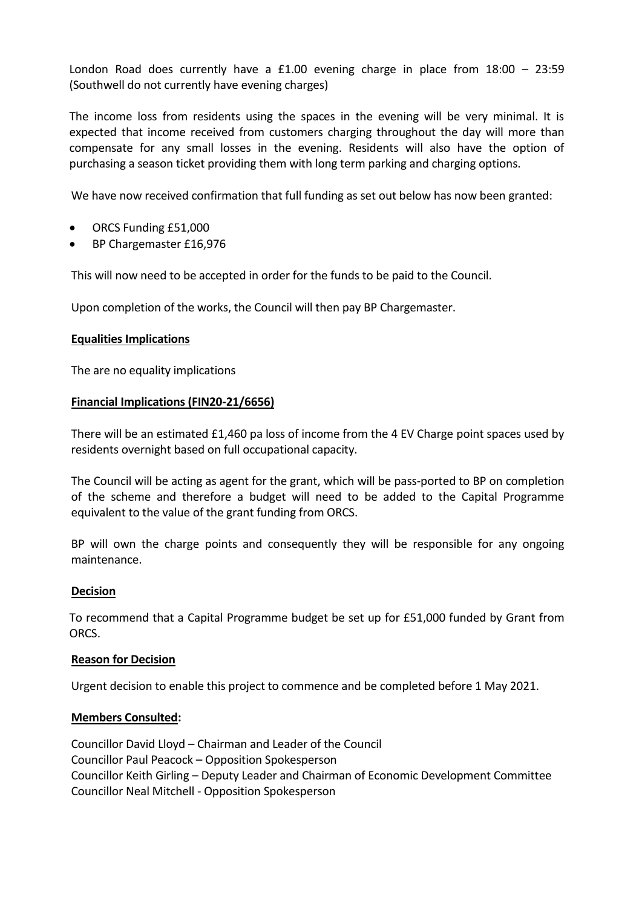London Road does currently have a £1.00 evening charge in place from 18:00 – 23:59 (Southwell do not currently have evening charges)

The income loss from residents using the spaces in the evening will be very minimal. It is expected that income received from customers charging throughout the day will more than compensate for any small losses in the evening. Residents will also have the option of purchasing a season ticket providing them with long term parking and charging options.

We have now received confirmation that full funding as set out below has now been granted:

- ORCS Funding £51,000
- BP Chargemaster £16,976

This will now need to be accepted in order for the funds to be paid to the Council.

Upon completion of the works, the Council will then pay BP Chargemaster.

### **Equalities Implications**

The are no equality implications

#### **Financial Implications (FIN20-21/6656)**

There will be an estimated £1,460 pa loss of income from the 4 EV Charge point spaces used by residents overnight based on full occupational capacity.

The Council will be acting as agent for the grant, which will be pass-ported to BP on completion of the scheme and therefore a budget will need to be added to the Capital Programme equivalent to the value of the grant funding from ORCS.

BP will own the charge points and consequently they will be responsible for any ongoing maintenance.

#### **Decision**

To recommend that a Capital Programme budget be set up for £51,000 funded by Grant from ORCS.

#### **Reason for Decision**

Urgent decision to enable this project to commence and be completed before 1 May 2021.

#### **Members Consulted:**

Councillor David Lloyd – Chairman and Leader of the Council Councillor Paul Peacock – Opposition Spokesperson Councillor Keith Girling – Deputy Leader and Chairman of Economic Development Committee Councillor Neal Mitchell - Opposition Spokesperson